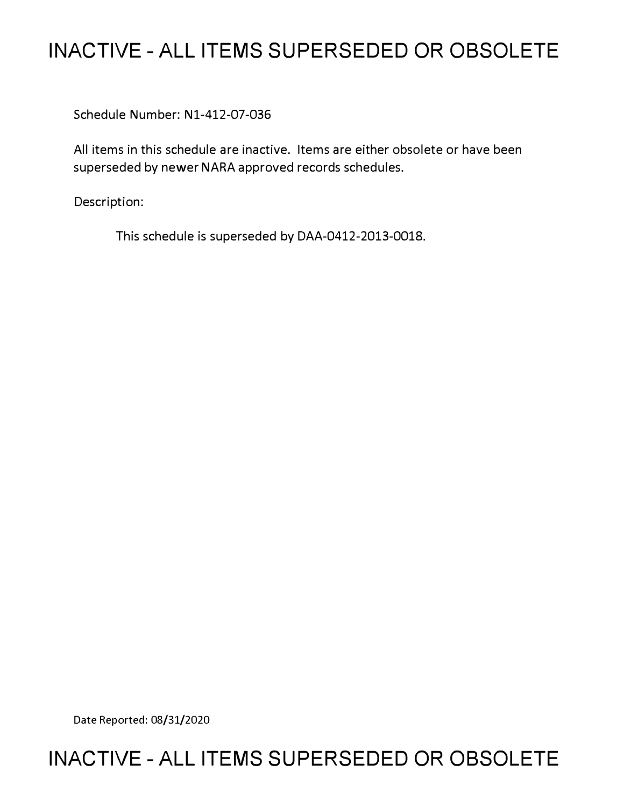# **INACTIVE - ALL ITEMS SUPERSEDED OR OBSOLETE**

Schedule Number: Nl-412-07-036

All items in this schedule are inactive. Items are either obsolete or have been superseded by newer NARA approved records schedules.

Description:

This schedule is superseded by DAA-0412-2013-0018.

Date Reported: 08/31/2020

# **INACTIVE - ALL ITEMS SUPERSEDED OR OBSOLETE**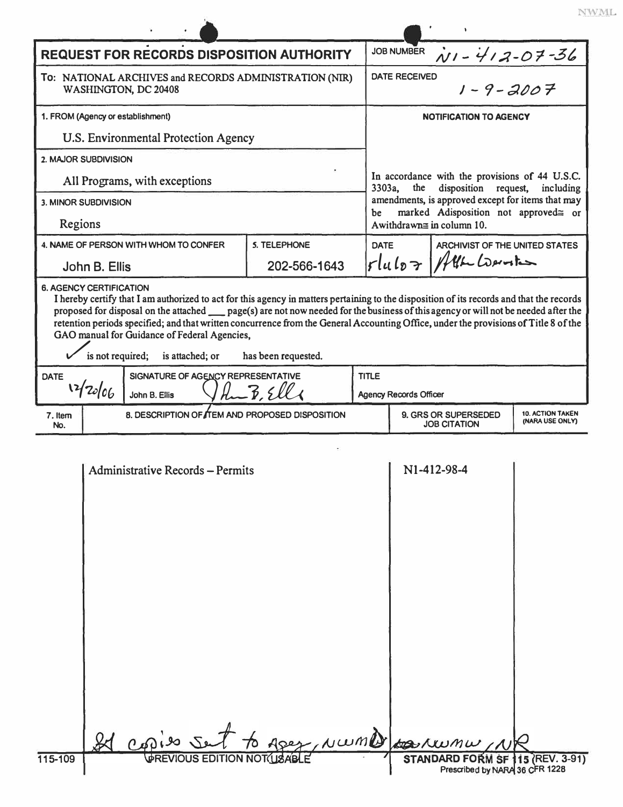| ÷ |  | $\sim$ |  |
|---|--|--------|--|
|   |  |        |  |

|                                                                                                                                                                                                                                                                                                                                                                                                                                                                                                            |                                                                                    |                     |                                                                                                      |                                                   | NV                      |  |  |
|------------------------------------------------------------------------------------------------------------------------------------------------------------------------------------------------------------------------------------------------------------------------------------------------------------------------------------------------------------------------------------------------------------------------------------------------------------------------------------------------------------|------------------------------------------------------------------------------------|---------------------|------------------------------------------------------------------------------------------------------|---------------------------------------------------|-------------------------|--|--|
|                                                                                                                                                                                                                                                                                                                                                                                                                                                                                                            | <b>REQUEST FOR RECORDS DISPOSITION AUTHORITY</b>                                   | <b>JOB NUMBER</b>   | $N1 - 412 - 07 - 36$                                                                                 |                                                   |                         |  |  |
| To: NATIONAL ARCHIVES and RECORDS ADMINISTRATION (NIR)<br>WASHINGTON, DC 20408                                                                                                                                                                                                                                                                                                                                                                                                                             |                                                                                    |                     | $1 - 9 - 2007$<br><b>DATE RECEIVED</b>                                                               |                                                   |                         |  |  |
| 1. FROM (Agency or establishment)                                                                                                                                                                                                                                                                                                                                                                                                                                                                          |                                                                                    |                     |                                                                                                      | <b>NOTIFICATION TO AGENCY</b>                     |                         |  |  |
| U.S. Environmental Protection Agency                                                                                                                                                                                                                                                                                                                                                                                                                                                                       |                                                                                    |                     |                                                                                                      |                                                   |                         |  |  |
| 2. MAJOR SUBDIVISION                                                                                                                                                                                                                                                                                                                                                                                                                                                                                       |                                                                                    |                     |                                                                                                      |                                                   |                         |  |  |
| All Programs, with exceptions                                                                                                                                                                                                                                                                                                                                                                                                                                                                              |                                                                                    |                     | In accordance with the provisions of 44 U.S.C.<br>3303a,<br>disposition request,<br>the<br>including |                                                   |                         |  |  |
| <b>3. MINOR SUBDIVISION</b>                                                                                                                                                                                                                                                                                                                                                                                                                                                                                |                                                                                    |                     |                                                                                                      | amendments, is approved except for items that may |                         |  |  |
| Regions                                                                                                                                                                                                                                                                                                                                                                                                                                                                                                    |                                                                                    |                     | marked Adisposition not approved≅ or<br>be<br>A withdrawn $\equiv$ in column 10.                     |                                                   |                         |  |  |
|                                                                                                                                                                                                                                                                                                                                                                                                                                                                                                            | 4. NAME OF PERSON WITH WHOM TO CONFER                                              | <b>S. TELEPHONE</b> | ARCHIVIST OF THE UNITED STATES<br><b>DATE</b>                                                        |                                                   |                         |  |  |
|                                                                                                                                                                                                                                                                                                                                                                                                                                                                                                            | John B. Ellis                                                                      | 202-566-1643        |                                                                                                      | Fluloz Atta Consti                                |                         |  |  |
| <b>6. AGENCY CERTIFICATION</b><br>I hereby certify that I am authorized to act for this agency in matters pertaining to the disposition of its records and that the records<br>proposed for disposal on the attached __ page(s) are not now needed for the business of this agency or will not be needed after the<br>retention periods specified; and that written concurrence from the General Accounting Office, under the provisions of Title 8 of the<br>GAO manual for Guidance of Federal Agencies, |                                                                                    |                     |                                                                                                      |                                                   |                         |  |  |
|                                                                                                                                                                                                                                                                                                                                                                                                                                                                                                            | is not required; is attached; or                                                   | has been requested. |                                                                                                      |                                                   |                         |  |  |
| <b>DATE</b>                                                                                                                                                                                                                                                                                                                                                                                                                                                                                                | SIGNATURE OF AGENCY REPRESENTATIVE<br>12/20/06                                     | $H = 3.56$          | <b>TITLE</b>                                                                                         |                                                   |                         |  |  |
| 7. Item                                                                                                                                                                                                                                                                                                                                                                                                                                                                                                    | John B. Ellis<br>8. DESCRIPTION OF THEM AND PROPOSED DISPOSITION                   |                     | <b>Agency Records Officer</b>                                                                        | 9. GRS OR SUPERSEDED                              | <b>10. ACTION TAKEN</b> |  |  |
| No.                                                                                                                                                                                                                                                                                                                                                                                                                                                                                                        |                                                                                    |                     |                                                                                                      | <b>JOB CITATION</b>                               | (NARA USE ONLY)         |  |  |
|                                                                                                                                                                                                                                                                                                                                                                                                                                                                                                            | <b>Administrative Records - Permits</b><br>Id capies set to apex, NWMD parkwaw, NR |                     |                                                                                                      | N1-412-98-4                                       |                         |  |  |
| 115-109                                                                                                                                                                                                                                                                                                                                                                                                                                                                                                    | <b>VPREVIOUS EDITION NOT(USABLE</b>                                                |                     |                                                                                                      | STANDARD FORM SF 115 (REV. 3-91)                  |                         |  |  |

Prescribed by NARA 36 CFR 1228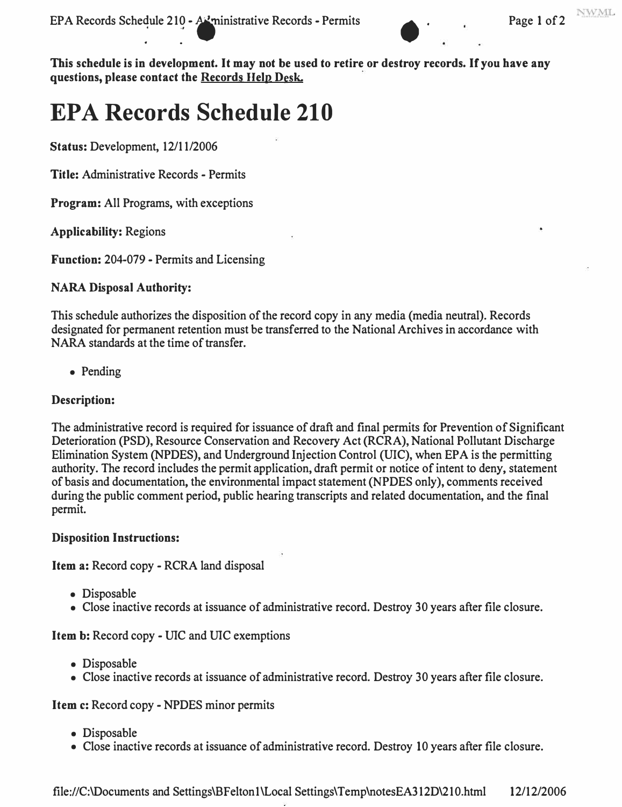

**This schedule is in development. It may not be used to retire or destroy records. If you have any questions, please contact the Records Help Desk.** 

# **EPA Records Schedule 210**

**Status: Development, 12/11/2006** 

**Title: Administrative Records - Permits** 

**Program: All Programs, with exceptions** 

**Applicability: Regions** 

**Function: 204-079 - Permits and Licensing** 

## **NARA Disposal Authority:**

**This schedule authorizes the disposition of the record copy in any media (media neutral). Records designated for permanent retention must be transferred to the National Archives in accordance with NARA standards at the time of transfer.** 

**• Pending** 

## **Description:**

**The administrative record is required for issuance of draft and final permits for Prevention of Significant Deterioration (PSD), Resource Conservation and Recovery Act (RCRA), National Pollutant Discharge Elimination System (NPDES), and Underground Injection Control (UIC), when EPA is the permitting authority. The record includes the permit application, draft permit or notice of intent to deny, statement of basis and documentation, the environmental impact statement (NPDES only), comments received during the public comment period, public hearing transcripts and related documentation, and the final permit.** 

## **Disposition Instructions:**

**Item a: Record copy - RCRA land disposal** 

- **Disposable**
- **Close inactive records at issuance of administrative record. Destroy 30 years after file closure.**

**Item b:** Record copy - UIC and UIC exemptions

- **Disposable**
- **Close inactive records at issuance of administrative record. Destroy 30 years after file closure.**

## **Item c: Record copy - NPDES minor permits**

- **Disposable**
- **Close inactive records at issuance of administrative record. Destroy 10 years after file closure.**